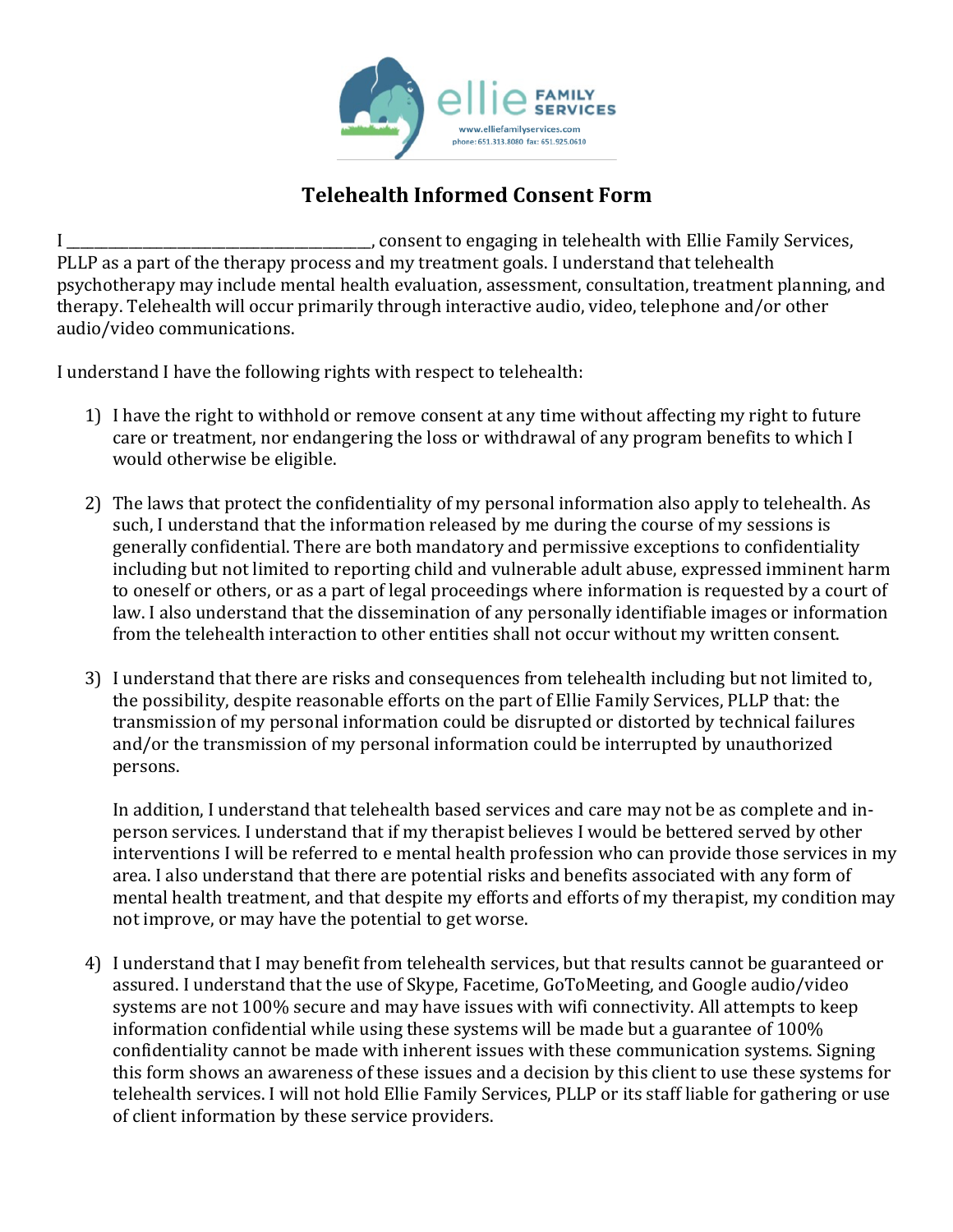

## **Telehealth Informed Consent Form**

I \_\_\_\_\_\_\_\_\_\_\_\_\_\_\_\_\_\_\_\_\_\_\_\_\_\_\_\_\_\_\_\_\_\_\_\_\_\_\_\_\_\_\_\_, consent to engaging in telehealth with Ellie Family Services, PLLP as a part of the therapy process and my treatment goals. I understand that telehealth psychotherapy may include mental health evaluation, assessment, consultation, treatment planning, and therapy. Telehealth will occur primarily through interactive audio, video, telephone and/or other audio/video communications.

I understand I have the following rights with respect to telehealth:

- 1) I have the right to withhold or remove consent at any time without affecting my right to future care or treatment, nor endangering the loss or withdrawal of any program benefits to which I would otherwise be eligible.
- 2) The laws that protect the confidentiality of my personal information also apply to telehealth. As such, I understand that the information released by me during the course of my sessions is generally confidential. There are both mandatory and permissive exceptions to confidentiality including but not limited to reporting child and vulnerable adult abuse, expressed imminent harm to oneself or others, or as a part of legal proceedings where information is requested by a court of law. I also understand that the dissemination of any personally identifiable images or information from the telehealth interaction to other entities shall not occur without my written consent.
- 3) I understand that there are risks and consequences from telehealth including but not limited to, the possibility, despite reasonable efforts on the part of Ellie Family Services, PLLP that: the transmission of my personal information could be disrupted or distorted by technical failures and/or the transmission of my personal information could be interrupted by unauthorized persons.

In addition, I understand that telehealth based services and care may not be as complete and inperson services. I understand that if my therapist believes I would be bettered served by other interventions I will be referred to e mental health profession who can provide those services in my area. I also understand that there are potential risks and benefits associated with any form of mental health treatment, and that despite my efforts and efforts of my therapist, my condition may not improve, or may have the potential to get worse.

4) I understand that I may benefit from telehealth services, but that results cannot be guaranteed or assured. I understand that the use of Skype, Facetime, GoToMeeting, and Google audio/video systems are not 100% secure and may have issues with wifi connectivity. All attempts to keep information confidential while using these systems will be made but a guarantee of  $100\%$ confidentiality cannot be made with inherent issues with these communication systems. Signing this form shows an awareness of these issues and a decision by this client to use these systems for telehealth services. I will not hold Ellie Family Services, PLLP or its staff liable for gathering or use of client information by these service providers.